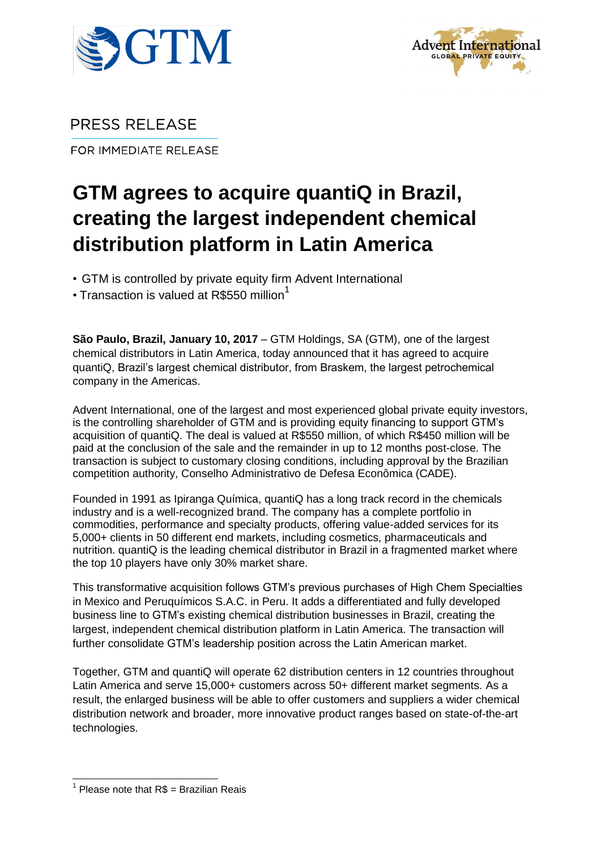



PRESS RELEASE

FOR IMMEDIATE RELEASE

# **GTM agrees to acquire quantiQ in Brazil, creating the largest independent chemical distribution platform in Latin America**

• GTM is controlled by private equity firm Advent International

• Transaction is valued at R\$550 million<sup>1</sup>

**São Paulo, Brazil, January 10, 2017** – GTM Holdings, SA (GTM), one of the largest chemical distributors in Latin America, today announced that it has agreed to acquire quantiQ, Brazil's largest chemical distributor, from Braskem, the largest petrochemical company in the Americas.

Advent International, one of the largest and most experienced global private equity investors, is the controlling shareholder of GTM and is providing equity financing to support GTM's acquisition of quantiQ. The deal is valued at R\$550 million, of which R\$450 million will be paid at the conclusion of the sale and the remainder in up to 12 months post-close. The transaction is subject to customary closing conditions, including approval by the Brazilian competition authority, Conselho Administrativo de Defesa Econômica (CADE).

Founded in 1991 as Ipiranga Química, quantiQ has a long track record in the chemicals industry and is a well-recognized brand. The company has a complete portfolio in commodities, performance and specialty products, offering value-added services for its 5,000+ clients in 50 different end markets, including cosmetics, pharmaceuticals and nutrition. quantiQ is the leading chemical distributor in Brazil in a fragmented market where the top 10 players have only 30% market share.

This transformative acquisition follows GTM's previous purchases of High Chem Specialties in Mexico and Peruquímicos S.A.C. in Peru. It adds a differentiated and fully developed business line to GTM's existing chemical distribution businesses in Brazil, creating the largest, independent chemical distribution platform in Latin America. The transaction will further consolidate GTM's leadership position across the Latin American market.

Together, GTM and quantiQ will operate 62 distribution centers in 12 countries throughout Latin America and serve 15,000+ customers across 50+ different market segments. As a result, the enlarged business will be able to offer customers and suppliers a wider chemical distribution network and broader, more innovative product ranges based on state-of-the-art technologies.

<sup>-</sup> $1$  Please note that R\$ = Brazilian Reais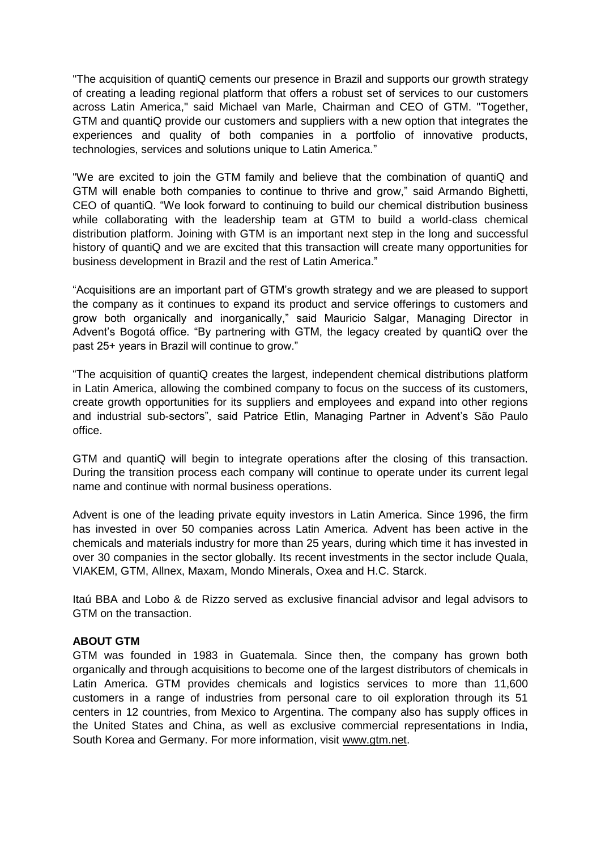"The acquisition of quantiQ cements our presence in Brazil and supports our growth strategy of creating a leading regional platform that offers a robust set of services to our customers across Latin America," said Michael van Marle, Chairman and CEO of GTM. "Together, GTM and quantiQ provide our customers and suppliers with a new option that integrates the experiences and quality of both companies in a portfolio of innovative products, technologies, services and solutions unique to Latin America."

"We are excited to join the GTM family and believe that the combination of quantiQ and GTM will enable both companies to continue to thrive and grow," said Armando Bighetti, CEO of quantiQ. "We look forward to continuing to build our chemical distribution business while collaborating with the leadership team at GTM to build a world-class chemical distribution platform. Joining with GTM is an important next step in the long and successful history of quantiQ and we are excited that this transaction will create many opportunities for business development in Brazil and the rest of Latin America."

"Acquisitions are an important part of GTM's growth strategy and we are pleased to support the company as it continues to expand its product and service offerings to customers and grow both organically and inorganically," said Mauricio Salgar, Managing Director in Advent's Bogotá office. "By partnering with GTM, the legacy created by quantiQ over the past 25+ years in Brazil will continue to grow."

"The acquisition of quantiQ creates the largest, independent chemical distributions platform in Latin America, allowing the combined company to focus on the success of its customers, create growth opportunities for its suppliers and employees and expand into other regions and industrial sub-sectors", said Patrice Etlin, Managing Partner in Advent's São Paulo office.

GTM and quantiQ will begin to integrate operations after the closing of this transaction. During the transition process each company will continue to operate under its current legal name and continue with normal business operations.

Advent is one of the leading private equity investors in Latin America. Since 1996, the firm has invested in over 50 companies across Latin America. Advent has been active in the chemicals and materials industry for more than 25 years, during which time it has invested in over 30 companies in the sector globally. Its recent investments in the sector include Quala, VIAKEM, GTM, Allnex, Maxam, Mondo Minerals, Oxea and H.C. Starck.

Itaú BBA and Lobo & de Rizzo served as exclusive financial advisor and legal advisors to GTM on the transaction.

# **ABOUT GTM**

GTM was founded in 1983 in Guatemala. Since then, the company has grown both organically and through acquisitions to become one of the largest distributors of chemicals in Latin America. GTM provides chemicals and logistics services to more than 11,600 customers in a range of industries from personal care to oil exploration through its 51 centers in 12 countries, from Mexico to Argentina. The company also has supply offices in the United States and China, as well as exclusive commercial representations in India, South Korea and Germany. For more information, visit [www.gtm.net.](https://urldefense.proofpoint.com/v2/url?u=http-3A__www.gtm.net&d=DgMFAw&c=rv5oQU01TR5b5ddclazdSbXnTL3qPkm3fpW_G2jAdN0&r=DblJKYquWYPuXFD2CMY9H1seoaLCT3I3zWfCvABVt5I&m=cE-U3Ts_-KmYWsyoozXAx40CQ4_LVwt2bWSHV7lmPfw&s=Sx6m5YG1UfpKrU9L28czTiryWKC6AgbkUs6wSrvM5JA&e=)